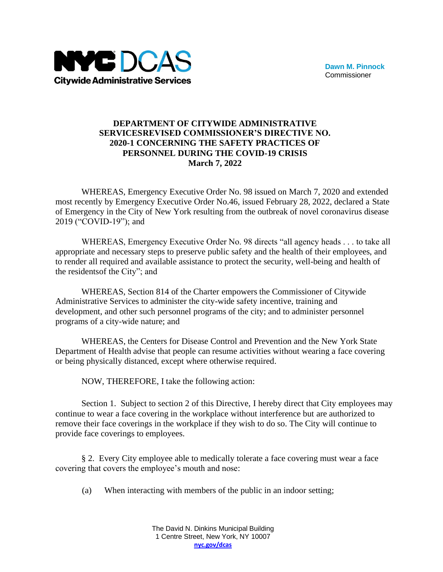

## **DEPARTMENT OF CITYWIDE ADMINISTRATIVE SERVICESREVISED COMMISSIONER'S DIRECTIVE NO. 2020-1 CONCERNING THE SAFETY PRACTICES OF PERSONNEL DURING THE COVID-19 CRISIS March 7, 2022**

WHEREAS, Emergency Executive Order No. 98 issued on March 7, 2020 and extended most recently by Emergency Executive Order No.46, issued February 28, 2022, declared a State of Emergency in the City of New York resulting from the outbreak of novel coronavirus disease 2019 ("COVID-19"); and

WHEREAS, Emergency Executive Order No. 98 directs "all agency heads . . . to take all appropriate and necessary steps to preserve public safety and the health of their employees, and to render all required and available assistance to protect the security, well-being and health of the residentsof the City"; and

WHEREAS, Section 814 of the Charter empowers the Commissioner of Citywide Administrative Services to administer the city-wide safety incentive, training and development, and other such personnel programs of the city; and to administer personnel programs of a city-wide nature; and

WHEREAS, the Centers for Disease Control and Prevention and the New York State Department of Health advise that people can resume activities without wearing a face covering or being physically distanced, except where otherwise required.

NOW, THEREFORE, I take the following action:

Section 1. Subject to section 2 of this Directive, I hereby direct that City employees may continue to wear a face covering in the workplace without interference but are authorized to remove their face coverings in the workplace if they wish to do so. The City will continue to provide face coverings to employees.

§ 2. Every City employee able to medically tolerate a face covering must wear a face covering that covers the employee's mouth and nose:

(a) When interacting with members of the public in an indoor setting;